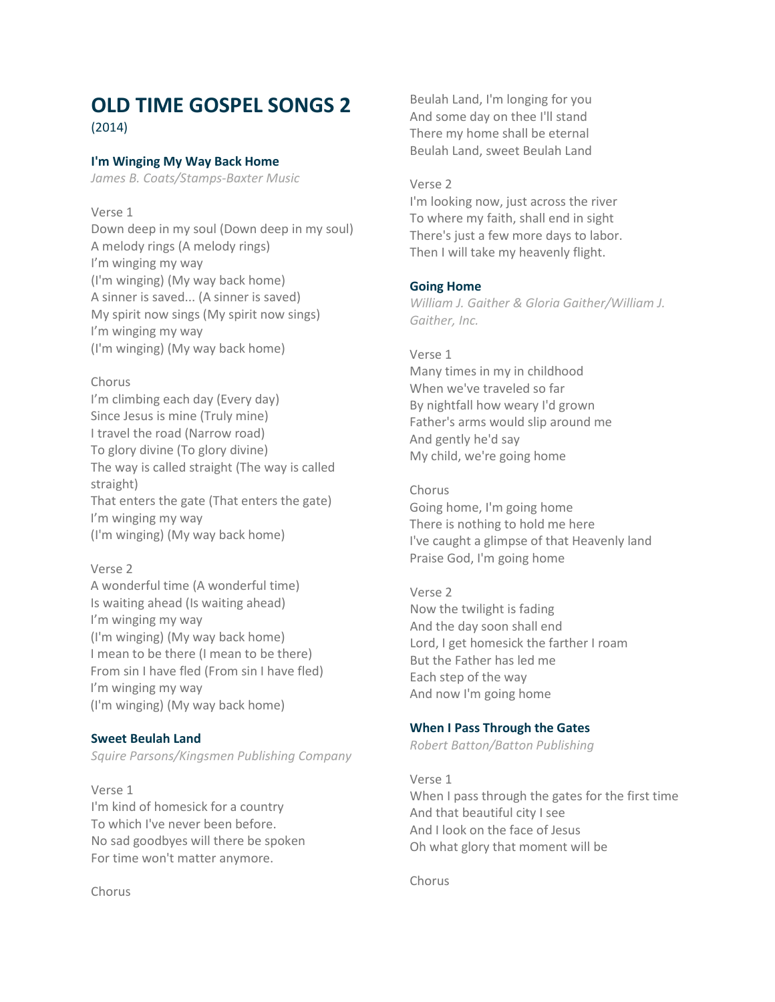# **OLD TIME GOSPEL SONGS 2**

(2014)

### **I'm Winging My Way Back Home**

*James B. Coats/Stamps-Baxter Music*

### Verse 1

Down deep in my soul (Down deep in my soul) A melody rings (A melody rings) I'm winging my way (I'm winging) (My way back home) A sinner is saved... (A sinner is saved) My spirit now sings (My spirit now sings) I'm winging my way (I'm winging) (My way back home)

# Chorus

I'm climbing each day (Every day) Since Jesus is mine (Truly mine) I travel the road (Narrow road) To glory divine (To glory divine) The way is called straight (The way is called straight) That enters the gate (That enters the gate) I'm winging my way (I'm winging) (My way back home)

# Verse 2

A wonderful time (A wonderful time) Is waiting ahead (Is waiting ahead) I'm winging my way (I'm winging) (My way back home) I mean to be there (I mean to be there) From sin I have fled (From sin I have fled) I'm winging my way (I'm winging) (My way back home)

### **Sweet Beulah Land**

*Squire Parsons/Kingsmen Publishing Company*

Verse 1 I'm kind of homesick for a country To which I've never been before. No sad goodbyes will there be spoken For time won't matter anymore.

Chorus

Beulah Land, I'm longing for you And some day on thee I'll stand There my home shall be eternal Beulah Land, sweet Beulah Land

### Verse 2

I'm looking now, just across the river To where my faith, shall end in sight There's just a few more days to labor. Then I will take my heavenly flight.

### **Going Home**

*William J. Gaither & Gloria Gaither/William J. Gaither, Inc.*

### Verse 1

Many times in my in childhood When we've traveled so far By nightfall how weary I'd grown Father's arms would slip around me And gently he'd say My child, we're going home

### Chorus

Going home, I'm going home There is nothing to hold me here I've caught a glimpse of that Heavenly land Praise God, I'm going home

# Verse 2

Now the twilight is fading And the day soon shall end Lord, I get homesick the farther I roam But the Father has led me Each step of the way And now I'm going home

# **When I Pass Through the Gates**

*Robert Batton/Batton Publishing*

# Verse 1 When I pass through the gates for the first time And that beautiful city I see And I look on the face of Jesus Oh what glory that moment will be

Chorus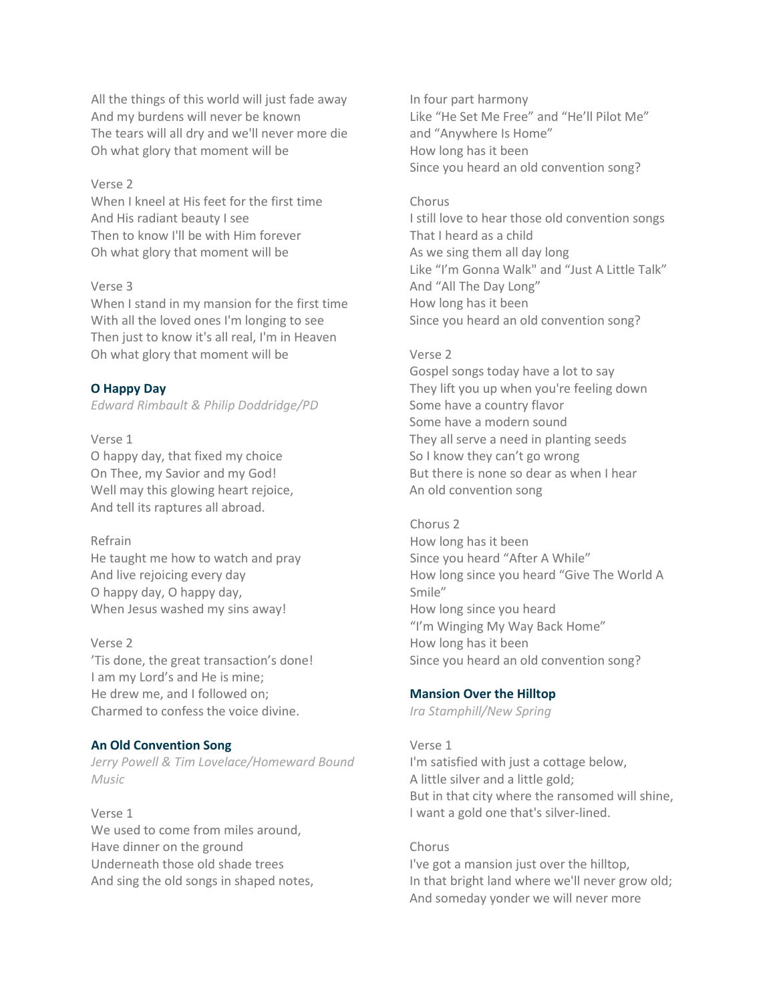All the things of this world will just fade away And my burdens will never be known The tears will all dry and we'll never more die Oh what glory that moment will be

### Verse 2

When I kneel at His feet for the first time And His radiant beauty I see Then to know I'll be with Him forever Oh what glory that moment will be

### Verse 3

When I stand in my mansion for the first time With all the loved ones I'm longing to see Then just to know it's all real, I'm in Heaven Oh what glory that moment will be

### **O Happy Day**

*Edward Rimbault & Philip Doddridge/PD*

Verse 1 O happy day, that fixed my choice On Thee, my Savior and my God! Well may this glowing heart rejoice, And tell its raptures all abroad.

#### Refrain

He taught me how to watch and pray And live rejoicing every day O happy day, O happy day, When Jesus washed my sins away!

### Verse 2

'Tis done, the great transaction's done! I am my Lord's and He is mine; He drew me, and I followed on; Charmed to confess the voice divine.

### **An Old Convention Song**

*Jerry Powell & Tim Lovelace/Homeward Bound Music*

### Verse 1

We used to come from miles around, Have dinner on the ground Underneath those old shade trees And sing the old songs in shaped notes,

In four part harmony Like "He Set Me Free" and "He'll Pilot Me" and "Anywhere Is Home" How long has it been Since you heard an old convention song?

### Chorus

I still love to hear those old convention songs That I heard as a child As we sing them all day long Like "I'm Gonna Walk" and "Just A Little Talk" And "All The Day Long" How long has it been Since you heard an old convention song?

#### Verse 2

Gospel songs today have a lot to say They lift you up when you're feeling down Some have a country flavor Some have a modern sound They all serve a need in planting seeds So I know they can't go wrong But there is none so dear as when I hear An old convention song

#### Chorus 2

How long has it been Since you heard "After A While" How long since you heard "Give The World A Smile" How long since you heard "I'm Winging My Way Back Home" How long has it been Since you heard an old convention song?

#### **Mansion Over the Hilltop**

*Ira Stamphill/New Spring*

### Verse 1

I'm satisfied with just a cottage below, A little silver and a little gold; But in that city where the ransomed will shine, I want a gold one that's silver-lined.

#### Chorus

I've got a mansion just over the hilltop, In that bright land where we'll never grow old; And someday yonder we will never more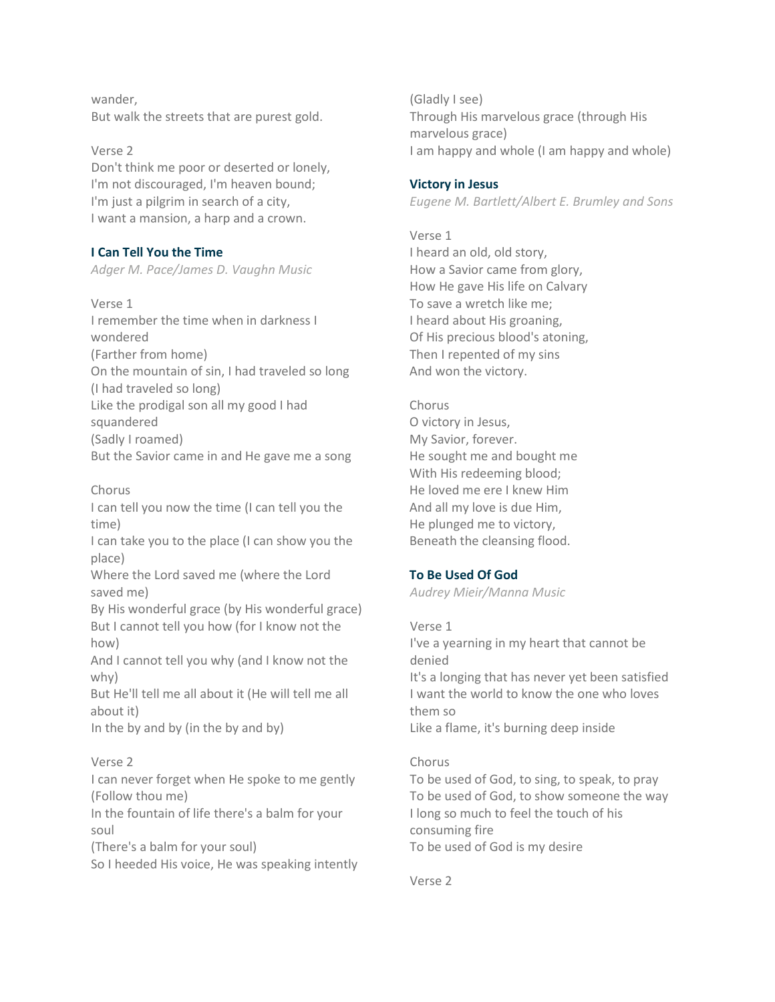wander, But walk the streets that are purest gold.

Verse 2 Don't think me poor or deserted or lonely, I'm not discouraged, I'm heaven bound; I'm just a pilgrim in search of a city, I want a mansion, a harp and a crown.

# **I Can Tell You the Time**

*Adger M. Pace/James D. Vaughn Music*

Verse 1 I remember the time when in darkness I wondered (Farther from home) On the mountain of sin, I had traveled so long (I had traveled so long) Like the prodigal son all my good I had squandered (Sadly I roamed) But the Savior came in and He gave me a song

Chorus

I can tell you now the time (I can tell you the time)

I can take you to the place (I can show you the place)

Where the Lord saved me (where the Lord saved me)

By His wonderful grace (by His wonderful grace) But I cannot tell you how (for I know not the how)

And I cannot tell you why (and I know not the why)

But He'll tell me all about it (He will tell me all about it)

In the by and by (in the by and by)

# Verse 2

I can never forget when He spoke to me gently (Follow thou me)

In the fountain of life there's a balm for your soul

(There's a balm for your soul)

So I heeded His voice, He was speaking intently

(Gladly I see) Through His marvelous grace (through His marvelous grace) I am happy and whole (I am happy and whole)

# **Victory in Jesus**

*Eugene M. Bartlett/Albert E. Brumley and Sons*

Verse 1 I heard an old, old story, How a Savior came from glory, How He gave His life on Calvary To save a wretch like me; I heard about His groaning, Of His precious blood's atoning, Then I repented of my sins And won the victory.

### Chorus

O victory in Jesus, My Savior, forever. He sought me and bought me With His redeeming blood; He loved me ere I knew Him And all my love is due Him, He plunged me to victory, Beneath the cleansing flood.

# **To Be Used Of God**

*Audrey Mieir/Manna Music*

Verse 1 I've a yearning in my heart that cannot be denied It's a longing that has never yet been satisfied I want the world to know the one who loves them so Like a flame, it's burning deep inside

# Chorus

To be used of God, to sing, to speak, to pray To be used of God, to show someone the way I long so much to feel the touch of his consuming fire To be used of God is my desire

Verse 2